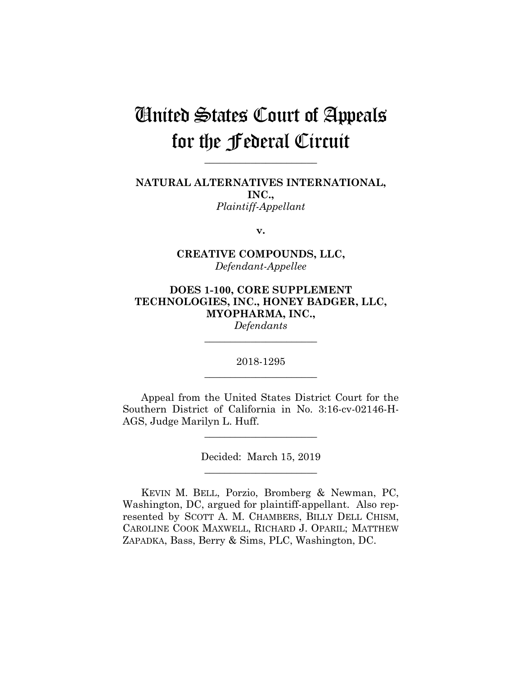# United States Court of Appeals for the Federal Circuit

**\_\_\_\_\_\_\_\_\_\_\_\_\_\_\_\_\_\_\_\_\_\_**

**NATURAL ALTERNATIVES INTERNATIONAL, INC.,** *Plaintiff-Appellant*

**v.**

**CREATIVE COMPOUNDS, LLC,** *Defendant-Appellee*

**DOES 1-100, CORE SUPPLEMENT TECHNOLOGIES, INC., HONEY BADGER, LLC, MYOPHARMA, INC.,**

*Defendants* **\_\_\_\_\_\_\_\_\_\_\_\_\_\_\_\_\_\_\_\_\_\_**

2018-1295 **\_\_\_\_\_\_\_\_\_\_\_\_\_\_\_\_\_\_\_\_\_\_**

Appeal from the United States District Court for the Southern District of California in No. 3:16-cv-02146-H-AGS, Judge Marilyn L. Huff.

> Decided: March 15, 2019 **\_\_\_\_\_\_\_\_\_\_\_\_\_\_\_\_\_\_\_\_\_\_**

**\_\_\_\_\_\_\_\_\_\_\_\_\_\_\_\_\_\_\_\_\_\_**

KEVIN M. BELL, Porzio, Bromberg & Newman, PC, Washington, DC, argued for plaintiff-appellant. Also represented by SCOTT A. M. CHAMBERS, BILLY DELL CHISM, CAROLINE COOK MAXWELL, RICHARD J. OPARIL; MATTHEW ZAPADKA, Bass, Berry & Sims, PLC, Washington, DC.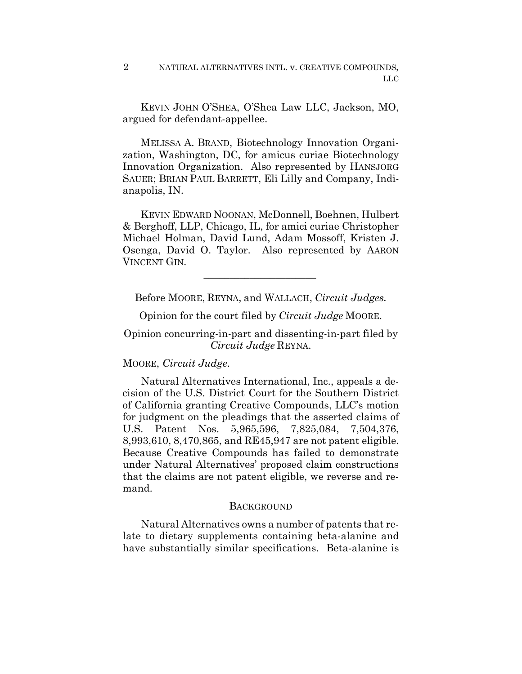NATURAL ALTERNATIVES INTL. v. CREATIVE COMPOUNDS, LLC 2

 KEVIN JOHN O'SHEA, O'Shea Law LLC, Jackson, MO, argued for defendant-appellee.

 MELISSA A. BRAND, Biotechnology Innovation Organization, Washington, DC, for amicus curiae Biotechnology Innovation Organization. Also represented by HANSJORG SAUER; BRIAN PAUL BARRETT, Eli Lilly and Company, Indianapolis, IN.

 KEVIN EDWARD NOONAN, McDonnell, Boehnen, Hulbert & Berghoff, LLP, Chicago, IL, for amici curiae Christopher Michael Holman, David Lund, Adam Mossoff, Kristen J. Osenga, David O. Taylor. Also represented by AARON VINCENT GIN.

Before MOORE, REYNA, and WALLACH, *Circuit Judges.*

 $\mathcal{L}_\text{max}$  and  $\mathcal{L}_\text{max}$  and  $\mathcal{L}_\text{max}$  and  $\mathcal{L}_\text{max}$ 

Opinion for the court filed by *Circuit Judge* MOORE.

Opinion concurring-in-part and dissenting-in-part filed by *Circuit Judge* REYNA.

MOORE, *Circuit Judge*.

Natural Alternatives International, Inc., appeals a decision of the U.S. District Court for the Southern District of California granting Creative Compounds, LLC's motion for judgment on the pleadings that the asserted claims of U.S. Patent Nos. 5,965,596, 7,825,084, 7,504,376, 8,993,610, 8,470,865, and RE45,947 are not patent eligible. Because Creative Compounds has failed to demonstrate under Natural Alternatives' proposed claim constructions that the claims are not patent eligible, we reverse and remand.

#### **BACKGROUND**

Natural Alternatives owns a number of patents that relate to dietary supplements containing beta-alanine and have substantially similar specifications. Beta-alanine is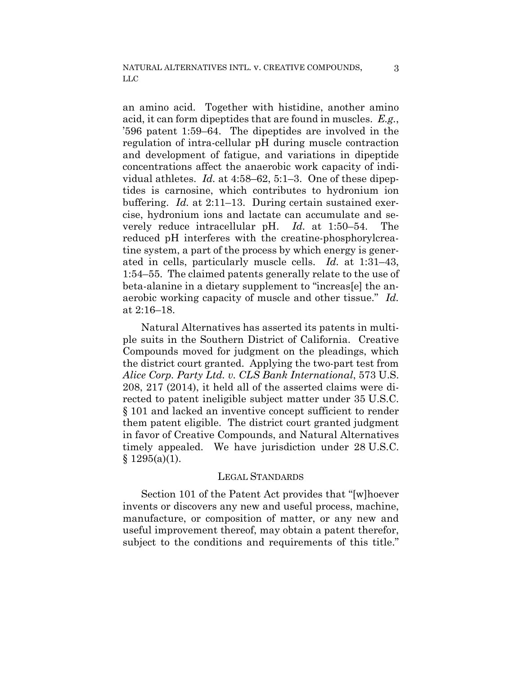an amino acid. Together with histidine, another amino acid, it can form dipeptides that are found in muscles. *E.g.*, '596 patent 1:59–64. The dipeptides are involved in the regulation of intra-cellular pH during muscle contraction and development of fatigue, and variations in dipeptide concentrations affect the anaerobic work capacity of individual athletes. *Id.* at 4:58–62, 5:1–3. One of these dipeptides is carnosine, which contributes to hydronium ion buffering. *Id.* at 2:11–13. During certain sustained exercise, hydronium ions and lactate can accumulate and severely reduce intracellular pH. *Id.* at 1:50–54. The reduced pH interferes with the creatine-phosphorylcreatine system, a part of the process by which energy is generated in cells, particularly muscle cells. *Id.* at 1:31–43, 1:54–55. The claimed patents generally relate to the use of beta-alanine in a dietary supplement to "increas[e] the anaerobic working capacity of muscle and other tissue." *Id.* at 2:16–18.

Natural Alternatives has asserted its patents in multiple suits in the Southern District of California. Creative Compounds moved for judgment on the pleadings, which the district court granted. Applying the two-part test from *Alice Corp. Party Ltd. v. CLS Bank International*, 573 U.S. 208, 217 (2014), it held all of the asserted claims were directed to patent ineligible subject matter under 35 U.S.C. § 101 and lacked an inventive concept sufficient to render them patent eligible. The district court granted judgment in favor of Creative Compounds, and Natural Alternatives timely appealed. We have jurisdiction under 28 U.S.C.  $§ 1295(a)(1).$ 

## LEGAL STANDARDS

Section 101 of the Patent Act provides that "[w]hoever invents or discovers any new and useful process, machine, manufacture, or composition of matter, or any new and useful improvement thereof, may obtain a patent therefor, subject to the conditions and requirements of this title."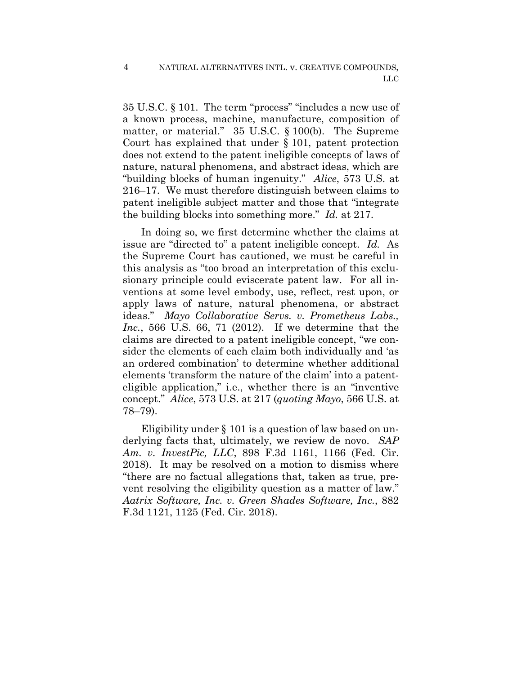4

35 U.S.C. § 101. The term "process" "includes a new use of a known process, machine, manufacture, composition of matter, or material." 35 U.S.C. § 100(b). The Supreme Court has explained that under § 101, patent protection does not extend to the patent ineligible concepts of laws of nature, natural phenomena, and abstract ideas, which are "building blocks of human ingenuity." *Alice*, 573 U.S. at 216–17. We must therefore distinguish between claims to patent ineligible subject matter and those that "integrate the building blocks into something more." *Id.* at 217.

In doing so, we first determine whether the claims at issue are "directed to" a patent ineligible concept. *Id.* As the Supreme Court has cautioned, we must be careful in this analysis as "too broad an interpretation of this exclusionary principle could eviscerate patent law. For all inventions at some level embody, use, reflect, rest upon, or apply laws of nature, natural phenomena, or abstract ideas." *Mayo Collaborative Servs. v. Prometheus Labs., Inc.*, 566 U.S. 66, 71 (2012). If we determine that the claims are directed to a patent ineligible concept, "we consider the elements of each claim both individually and 'as an ordered combination' to determine whether additional elements 'transform the nature of the claim' into a patenteligible application," i.e., whether there is an "inventive concept." *Alice*, 573 U.S. at 217 (*quoting Mayo*, 566 U.S. at 78–79).

Eligibility under § 101 is a question of law based on underlying facts that, ultimately, we review de novo. *SAP Am. v. InvestPic, LLC*, 898 F.3d 1161, 1166 (Fed. Cir. 2018). It may be resolved on a motion to dismiss where "there are no factual allegations that, taken as true, prevent resolving the eligibility question as a matter of law." *Aatrix Software, Inc. v. Green Shades Software, Inc.*, 882 F.3d 1121, 1125 (Fed. Cir. 2018).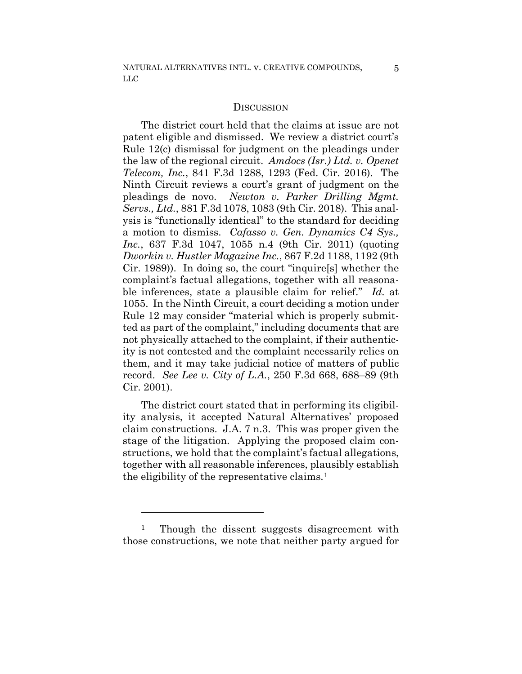#### **DISCUSSION**

The district court held that the claims at issue are not patent eligible and dismissed. We review a district court's Rule 12(c) dismissal for judgment on the pleadings under the law of the regional circuit. *Amdocs (Isr.) Ltd. v. Openet Telecom, Inc.*, 841 F.3d 1288, 1293 (Fed. Cir. 2016). The Ninth Circuit reviews a court's grant of judgment on the pleadings de novo. *Newton v. Parker Drilling Mgmt. Servs., Ltd.*, 881 F.3d 1078, 1083 (9th Cir. 2018). This analysis is "functionally identical" to the standard for deciding a motion to dismiss. *Cafasso v. Gen. Dynamics C4 Sys., Inc.*, 637 F.3d 1047, 1055 n.4 (9th Cir. 2011) (quoting *Dworkin v. Hustler Magazine Inc.*, 867 F.2d 1188, 1192 (9th Cir. 1989)). In doing so, the court "inquire[s] whether the complaint's factual allegations, together with all reasonable inferences, state a plausible claim for relief." *Id.* at 1055. In the Ninth Circuit, a court deciding a motion under Rule 12 may consider "material which is properly submitted as part of the complaint," including documents that are not physically attached to the complaint, if their authenticity is not contested and the complaint necessarily relies on them, and it may take judicial notice of matters of public record. *See Lee v. City of L.A.*, 250 F.3d 668, 688–89 (9th Cir. 2001).

The district court stated that in performing its eligibility analysis, it accepted Natural Alternatives' proposed claim constructions. J.A. 7 n.3. This was proper given the stage of the litigation. Applying the proposed claim constructions, we hold that the complaint's factual allegations, together with all reasonable inferences, plausibly establish the eligibility of the representative claims.[1](#page-4-0)

<span id="page-4-0"></span><sup>&</sup>lt;sup>1</sup> Though the dissent suggests disagreement with those constructions, we note that neither party argued for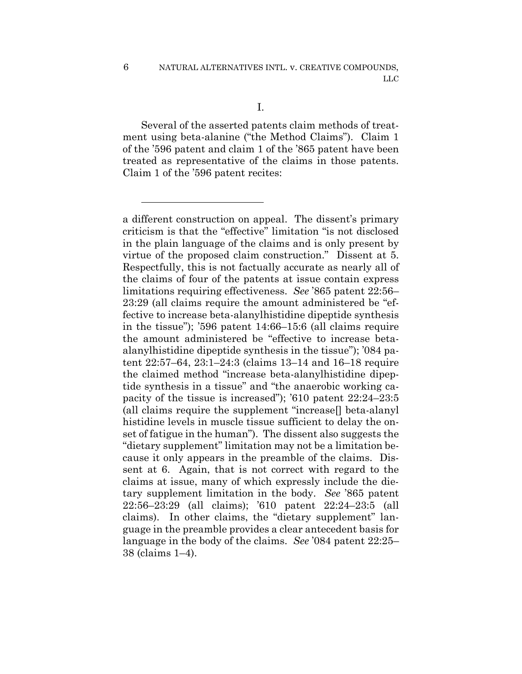1

Several of the asserted patents claim methods of treatment using beta-alanine ("the Method Claims"). Claim 1 of the '596 patent and claim 1 of the '865 patent have been treated as representative of the claims in those patents. Claim 1 of the '596 patent recites:

a different construction on appeal. The dissent's primary criticism is that the "effective" limitation "is not disclosed in the plain language of the claims and is only present by virtue of the proposed claim construction." Dissent at 5. Respectfully, this is not factually accurate as nearly all of the claims of four of the patents at issue contain express limitations requiring effectiveness. *See* '865 patent 22:56– 23:29 (all claims require the amount administered be "effective to increase beta-alanylhistidine dipeptide synthesis in the tissue"); '596 patent 14:66–15:6 (all claims require the amount administered be "effective to increase betaalanylhistidine dipeptide synthesis in the tissue"); '084 patent 22:57–64, 23:1–24:3 (claims 13–14 and 16–18 require the claimed method "increase beta-alanylhistidine dipeptide synthesis in a tissue" and "the anaerobic working capacity of the tissue is increased"); '610 patent 22:24–23:5 (all claims require the supplement "increase[] beta-alanyl histidine levels in muscle tissue sufficient to delay the onset of fatigue in the human"). The dissent also suggests the "dietary supplement" limitation may not be a limitation because it only appears in the preamble of the claims. Dissent at 6. Again, that is not correct with regard to the claims at issue, many of which expressly include the dietary supplement limitation in the body. *See* '865 patent 22:56–23:29 (all claims); '610 patent 22:24–23:5 (all claims). In other claims, the "dietary supplement" language in the preamble provides a clear antecedent basis for language in the body of the claims. *See* '084 patent 22:25– 38 (claims 1–4).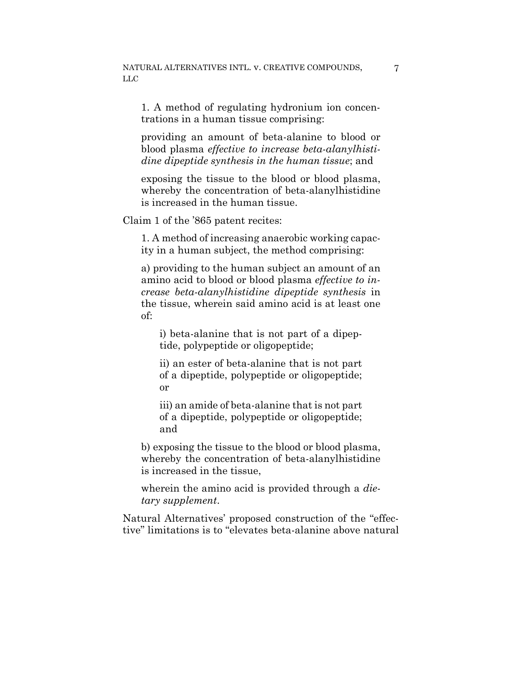1. A method of regulating hydronium ion concentrations in a human tissue comprising:

providing an amount of beta-alanine to blood or blood plasma *effective to increase beta-alanylhistidine dipeptide synthesis in the human tissue*; and

exposing the tissue to the blood or blood plasma, whereby the concentration of beta-alanylhistidine is increased in the human tissue.

Claim 1 of the '865 patent recites:

1. A method of increasing anaerobic working capacity in a human subject, the method comprising:

a) providing to the human subject an amount of an amino acid to blood or blood plasma *effective to increase beta-alanylhistidine dipeptide synthesis* in the tissue, wherein said amino acid is at least one of:

i) beta-alanine that is not part of a dipeptide, polypeptide or oligopeptide;

ii) an ester of beta-alanine that is not part of a dipeptide, polypeptide or oligopeptide; or

iii) an amide of beta-alanine that is not part of a dipeptide, polypeptide or oligopeptide; and

b) exposing the tissue to the blood or blood plasma, whereby the concentration of beta-alanylhistidine is increased in the tissue,

wherein the amino acid is provided through a *dietary supplement*.

Natural Alternatives' proposed construction of the "effective" limitations is to "elevates beta-alanine above natural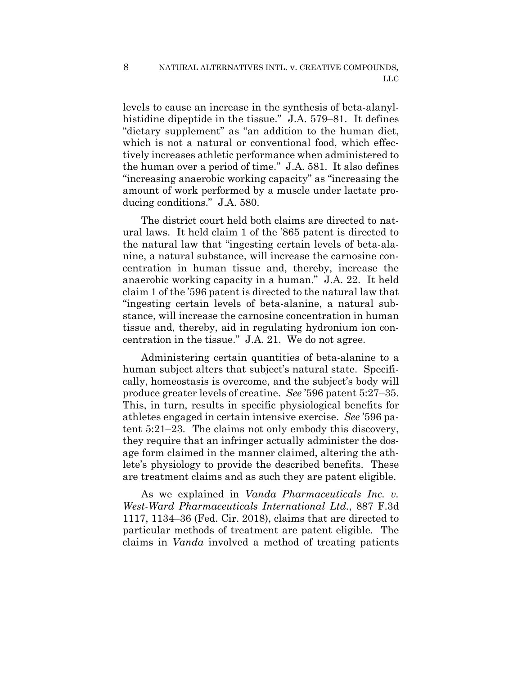levels to cause an increase in the synthesis of beta-alanylhistidine dipeptide in the tissue." J.A. 579–81. It defines "dietary supplement" as "an addition to the human diet, which is not a natural or conventional food, which effectively increases athletic performance when administered to the human over a period of time." J.A. 581. It also defines "increasing anaerobic working capacity" as "increasing the amount of work performed by a muscle under lactate producing conditions." J.A. 580.

The district court held both claims are directed to natural laws. It held claim 1 of the '865 patent is directed to the natural law that "ingesting certain levels of beta-alanine, a natural substance, will increase the carnosine concentration in human tissue and, thereby, increase the anaerobic working capacity in a human." J.A. 22. It held claim 1 of the '596 patent is directed to the natural law that "ingesting certain levels of beta-alanine, a natural substance, will increase the carnosine concentration in human tissue and, thereby, aid in regulating hydronium ion concentration in the tissue." J.A. 21. We do not agree.

Administering certain quantities of beta-alanine to a human subject alters that subject's natural state. Specifically, homeostasis is overcome, and the subject's body will produce greater levels of creatine. *See* '596 patent 5:27–35. This, in turn, results in specific physiological benefits for athletes engaged in certain intensive exercise. *See* '596 patent 5:21–23. The claims not only embody this discovery, they require that an infringer actually administer the dosage form claimed in the manner claimed, altering the athlete's physiology to provide the described benefits. These are treatment claims and as such they are patent eligible.

As we explained in *Vanda Pharmaceuticals Inc. v. West-Ward Pharmaceuticals International Ltd.*, 887 F.3d 1117, 1134–36 (Fed. Cir. 2018), claims that are directed to particular methods of treatment are patent eligible. The claims in *Vanda* involved a method of treating patients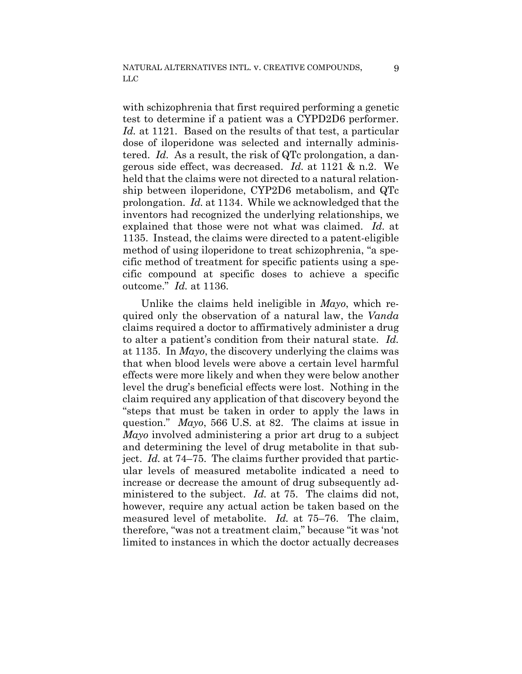with schizophrenia that first required performing a genetic test to determine if a patient was a CYPD2D6 performer. *Id.* at 1121. Based on the results of that test, a particular dose of iloperidone was selected and internally administered. *Id.* As a result, the risk of QTc prolongation, a dangerous side effect, was decreased. *Id.* at 1121 & n.2. We held that the claims were not directed to a natural relationship between iloperidone, CYP2D6 metabolism, and QTc prolongation. *Id.* at 1134. While we acknowledged that the inventors had recognized the underlying relationships, we explained that those were not what was claimed. *Id.* at 1135. Instead, the claims were directed to a patent-eligible method of using iloperidone to treat schizophrenia, "a specific method of treatment for specific patients using a specific compound at specific doses to achieve a specific outcome." *Id.* at 1136.

Unlike the claims held ineligible in *Mayo*, which required only the observation of a natural law, the *Vanda*  claims required a doctor to affirmatively administer a drug to alter a patient's condition from their natural state. *Id.* at 1135. In *Mayo*, the discovery underlying the claims was that when blood levels were above a certain level harmful effects were more likely and when they were below another level the drug's beneficial effects were lost. Nothing in the claim required any application of that discovery beyond the "steps that must be taken in order to apply the laws in question." *Mayo*, 566 U.S. at 82. The claims at issue in *Mayo* involved administering a prior art drug to a subject and determining the level of drug metabolite in that subject. *Id.* at 74–75. The claims further provided that particular levels of measured metabolite indicated a need to increase or decrease the amount of drug subsequently administered to the subject. *Id.* at 75. The claims did not, however, require any actual action be taken based on the measured level of metabolite. *Id.* at 75–76. The claim, therefore, "was not a treatment claim," because "it was 'not limited to instances in which the doctor actually decreases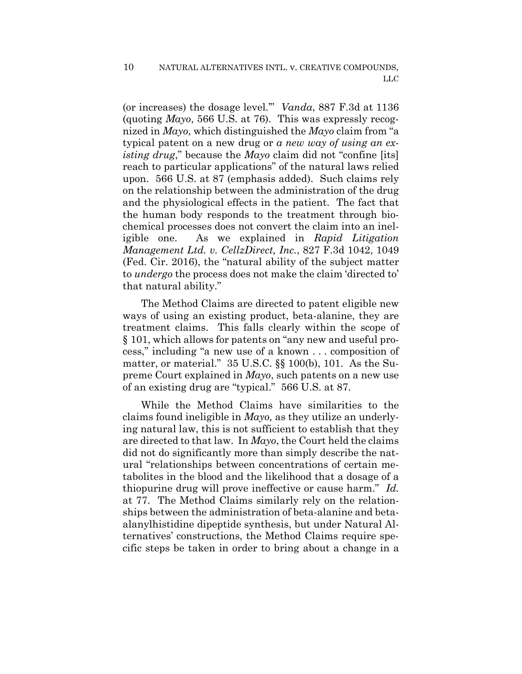(or increases) the dosage level.'" *Vanda*, 887 F.3d at 1136 (quoting *Mayo*, 566 U.S. at 76). This was expressly recognized in *Mayo*, which distinguished the *Mayo* claim from "a typical patent on a new drug or *a new way of using an existing drug*," because the *Mayo* claim did not "confine [its] reach to particular applications" of the natural laws relied upon. 566 U.S. at 87 (emphasis added). Such claims rely on the relationship between the administration of the drug and the physiological effects in the patient. The fact that the human body responds to the treatment through biochemical processes does not convert the claim into an ineligible one. As we explained in *Rapid Litigation Management Ltd. v. CellzDirect, Inc.*, 827 F.3d 1042, 1049 (Fed. Cir. 2016), the "natural ability of the subject matter to *undergo* the process does not make the claim 'directed to' that natural ability."

The Method Claims are directed to patent eligible new ways of using an existing product, beta-alanine, they are treatment claims. This falls clearly within the scope of § 101, which allows for patents on "any new and useful process," including "a new use of a known . . . composition of matter, or material." 35 U.S.C. §§ 100(b), 101. As the Supreme Court explained in *Mayo*, such patents on a new use of an existing drug are "typical." 566 U.S. at 87.

While the Method Claims have similarities to the claims found ineligible in *Mayo,* as they utilize an underlying natural law, this is not sufficient to establish that they are directed to that law. In *Mayo*, the Court held the claims did not do significantly more than simply describe the natural "relationships between concentrations of certain metabolites in the blood and the likelihood that a dosage of a thiopurine drug will prove ineffective or cause harm." *Id.* at 77. The Method Claims similarly rely on the relationships between the administration of beta-alanine and betaalanylhistidine dipeptide synthesis, but under Natural Alternatives' constructions, the Method Claims require specific steps be taken in order to bring about a change in a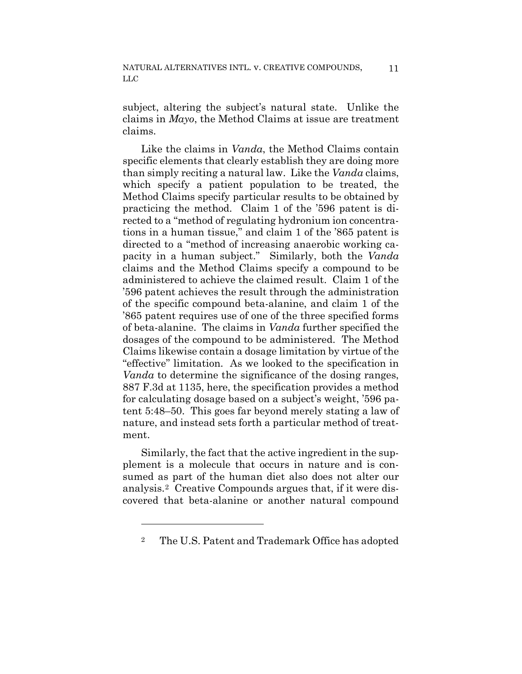subject, altering the subject's natural state. Unlike the claims in *Mayo*, the Method Claims at issue are treatment claims.

Like the claims in *Vanda*, the Method Claims contain specific elements that clearly establish they are doing more than simply reciting a natural law. Like the *Vanda* claims, which specify a patient population to be treated, the Method Claims specify particular results to be obtained by practicing the method. Claim 1 of the '596 patent is directed to a "method of regulating hydronium ion concentrations in a human tissue," and claim 1 of the '865 patent is directed to a "method of increasing anaerobic working capacity in a human subject." Similarly, both the *Vanda*  claims and the Method Claims specify a compound to be administered to achieve the claimed result. Claim 1 of the '596 patent achieves the result through the administration of the specific compound beta-alanine, and claim 1 of the '865 patent requires use of one of the three specified forms of beta-alanine. The claims in *Vanda* further specified the dosages of the compound to be administered. The Method Claims likewise contain a dosage limitation by virtue of the "effective" limitation. As we looked to the specification in *Vanda* to determine the significance of the dosing ranges, 887 F.3d at 1135, here, the specification provides a method for calculating dosage based on a subject's weight, '596 patent 5:48–50. This goes far beyond merely stating a law of nature, and instead sets forth a particular method of treatment.

Similarly, the fact that the active ingredient in the supplement is a molecule that occurs in nature and is consumed as part of the human diet also does not alter our analysis.[2](#page-10-0) Creative Compounds argues that, if it were discovered that beta-alanine or another natural compound

<span id="page-10-0"></span><sup>2</sup> The U.S. Patent and Trademark Office has adopted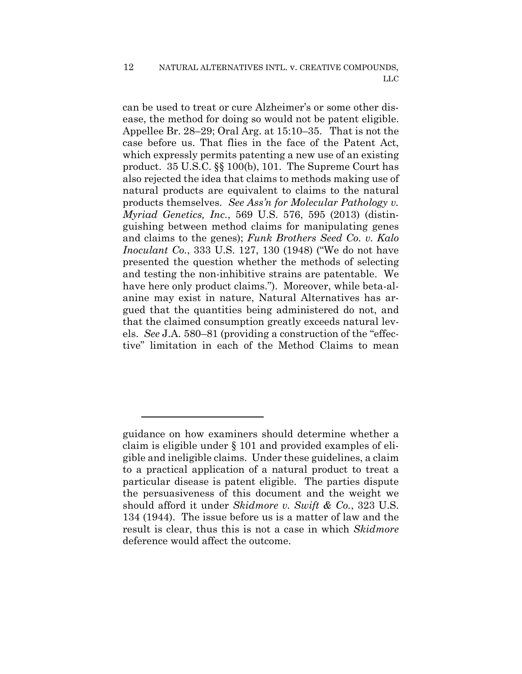can be used to treat or cure Alzheimer's or some other disease, the method for doing so would not be patent eligible. Appellee Br. 28–29; Oral Arg. at 15:10–35. That is not the case before us. That flies in the face of the Patent Act, which expressly permits patenting a new use of an existing product. 35 U.S.C. §§ 100(b), 101. The Supreme Court has also rejected the idea that claims to methods making use of natural products are equivalent to claims to the natural products themselves. *See Ass'n for Molecular Pathology v. Myriad Genetics, Inc.*, 569 U.S. 576, 595 (2013) (distinguishing between method claims for manipulating genes and claims to the genes); *Funk Brothers Seed Co. v. Kalo Inoculant Co.*, 333 U.S. 127, 130 (1948) ("We do not have presented the question whether the methods of selecting and testing the non-inhibitive strains are patentable. We have here only product claims."). Moreover, while beta-alanine may exist in nature, Natural Alternatives has argued that the quantities being administered do not, and that the claimed consumption greatly exceeds natural levels. *See* J.A. 580–81 (providing a construction of the "effective" limitation in each of the Method Claims to mean

guidance on how examiners should determine whether a claim is eligible under § 101 and provided examples of eligible and ineligible claims. Under these guidelines, a claim to a practical application of a natural product to treat a particular disease is patent eligible. The parties dispute the persuasiveness of this document and the weight we should afford it under *Skidmore v. Swift & Co.*, 323 U.S. 134 (1944). The issue before us is a matter of law and the result is clear, thus this is not a case in which *Skidmore*  deference would affect the outcome.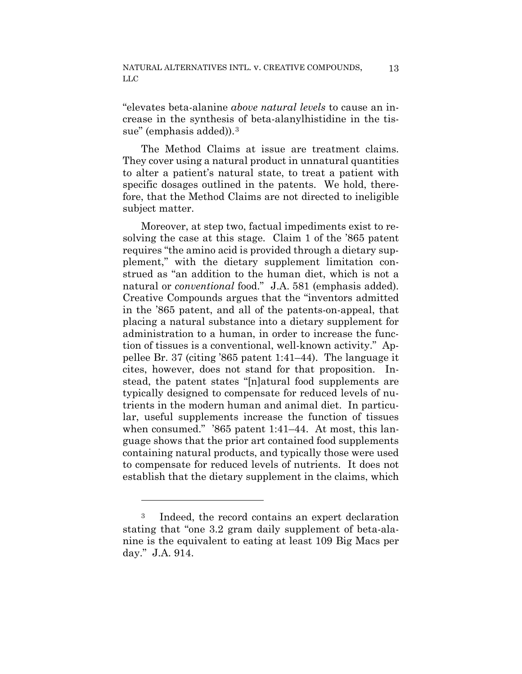"elevates beta-alanine *above natural levels* to cause an increase in the synthesis of beta-alanylhistidine in the tis-sue" (emphasis added)).<sup>[3](#page-12-0)</sup>

The Method Claims at issue are treatment claims. They cover using a natural product in unnatural quantities to alter a patient's natural state, to treat a patient with specific dosages outlined in the patents. We hold, therefore, that the Method Claims are not directed to ineligible subject matter.

Moreover, at step two, factual impediments exist to resolving the case at this stage. Claim 1 of the '865 patent requires "the amino acid is provided through a dietary supplement," with the dietary supplement limitation construed as "an addition to the human diet, which is not a natural or *conventional* food." J.A. 581 (emphasis added). Creative Compounds argues that the "inventors admitted in the '865 patent, and all of the patents-on-appeal, that placing a natural substance into a dietary supplement for administration to a human, in order to increase the function of tissues is a conventional, well-known activity." Appellee Br. 37 (citing '865 patent 1:41–44). The language it cites, however, does not stand for that proposition. Instead, the patent states "[n]atural food supplements are typically designed to compensate for reduced levels of nutrients in the modern human and animal diet. In particular, useful supplements increase the function of tissues when consumed." '865 patent 1:41–44. At most, this language shows that the prior art contained food supplements containing natural products, and typically those were used to compensate for reduced levels of nutrients. It does not establish that the dietary supplement in the claims, which

<u>.</u>

<span id="page-12-0"></span><sup>3</sup> Indeed, the record contains an expert declaration stating that "one 3.2 gram daily supplement of beta-alanine is the equivalent to eating at least 109 Big Macs per day." J.A. 914.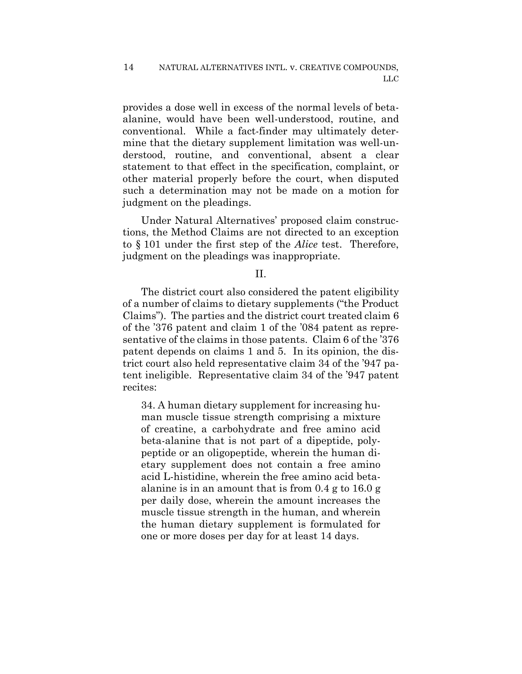provides a dose well in excess of the normal levels of betaalanine, would have been well-understood, routine, and conventional. While a fact-finder may ultimately determine that the dietary supplement limitation was well-understood, routine, and conventional, absent a clear statement to that effect in the specification, complaint, or other material properly before the court, when disputed such a determination may not be made on a motion for judgment on the pleadings.

Under Natural Alternatives' proposed claim constructions, the Method Claims are not directed to an exception to § 101 under the first step of the *Alice* test. Therefore, judgment on the pleadings was inappropriate.

## II.

The district court also considered the patent eligibility of a number of claims to dietary supplements ("the Product Claims"). The parties and the district court treated claim 6 of the '376 patent and claim 1 of the '084 patent as representative of the claims in those patents. Claim 6 of the '376 patent depends on claims 1 and 5. In its opinion, the district court also held representative claim 34 of the '947 patent ineligible. Representative claim 34 of the '947 patent recites:

34. A human dietary supplement for increasing human muscle tissue strength comprising a mixture of creatine, a carbohydrate and free amino acid beta-alanine that is not part of a dipeptide, polypeptide or an oligopeptide, wherein the human dietary supplement does not contain a free amino acid L-histidine, wherein the free amino acid betaalanine is in an amount that is from 0.4 g to 16.0 g per daily dose, wherein the amount increases the muscle tissue strength in the human, and wherein the human dietary supplement is formulated for one or more doses per day for at least 14 days.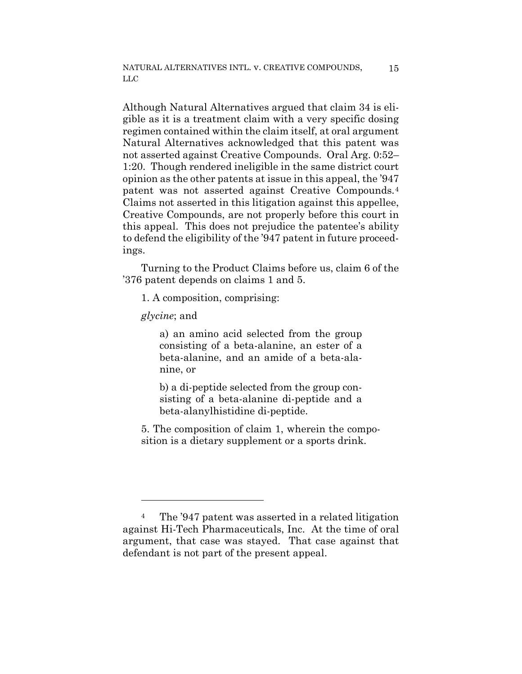NATURAL ALTERNATIVES INTL. v. CREATIVE COMPOUNDS, LLC

Although Natural Alternatives argued that claim 34 is eligible as it is a treatment claim with a very specific dosing regimen contained within the claim itself, at oral argument Natural Alternatives acknowledged that this patent was not asserted against Creative Compounds. Oral Arg. 0:52– 1:20. Though rendered ineligible in the same district court opinion as the other patents at issue in this appeal, the '947 patent was not asserted against Creative Compounds.[4](#page-14-0) Claims not asserted in this litigation against this appellee, Creative Compounds, are not properly before this court in this appeal. This does not prejudice the patentee's ability to defend the eligibility of the '947 patent in future proceedings.

Turning to the Product Claims before us, claim 6 of the '376 patent depends on claims 1 and 5.

1. A composition, comprising:

*glycine*; and

<u>.</u>

a) an amino acid selected from the group consisting of a beta-alanine, an ester of a beta-alanine, and an amide of a beta-alanine, or

b) a di-peptide selected from the group consisting of a beta-alanine di-peptide and a beta-alanylhistidine di-peptide.

5. The composition of claim 1, wherein the composition is a dietary supplement or a sports drink.

<span id="page-14-0"></span><sup>4</sup> The '947 patent was asserted in a related litigation against Hi-Tech Pharmaceuticals, Inc. At the time of oral argument, that case was stayed. That case against that defendant is not part of the present appeal.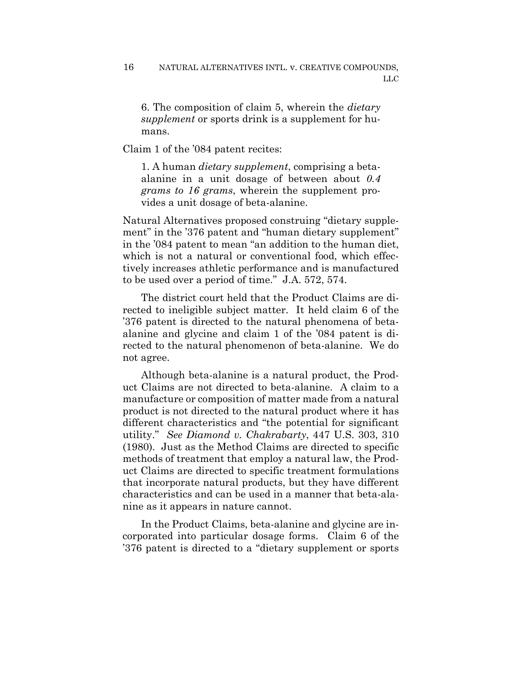6. The composition of claim 5, wherein the *dietary supplement* or sports drink is a supplement for humans.

Claim 1 of the '084 patent recites:

1. A human *dietary supplement*, comprising a betaalanine in a unit dosage of between about *0.4 grams to 16 grams*, wherein the supplement provides a unit dosage of beta-alanine.

Natural Alternatives proposed construing "dietary supplement" in the '376 patent and "human dietary supplement" in the '084 patent to mean "an addition to the human diet, which is not a natural or conventional food, which effectively increases athletic performance and is manufactured to be used over a period of time." J.A. 572, 574.

The district court held that the Product Claims are directed to ineligible subject matter. It held claim 6 of the '376 patent is directed to the natural phenomena of betaalanine and glycine and claim 1 of the '084 patent is directed to the natural phenomenon of beta-alanine. We do not agree.

Although beta-alanine is a natural product, the Product Claims are not directed to beta-alanine. A claim to a manufacture or composition of matter made from a natural product is not directed to the natural product where it has different characteristics and "the potential for significant utility." *See Diamond v. Chakrabarty*, 447 U.S. 303, 310 (1980). Just as the Method Claims are directed to specific methods of treatment that employ a natural law, the Product Claims are directed to specific treatment formulations that incorporate natural products, but they have different characteristics and can be used in a manner that beta-alanine as it appears in nature cannot.

In the Product Claims, beta-alanine and glycine are incorporated into particular dosage forms. Claim 6 of the '376 patent is directed to a "dietary supplement or sports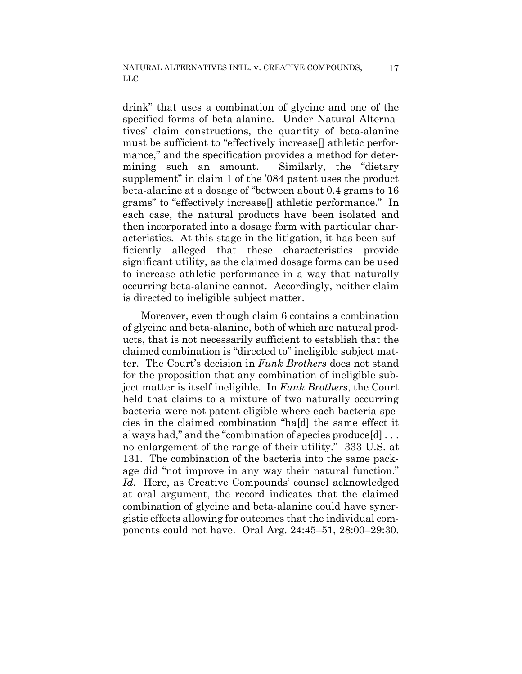drink" that uses a combination of glycine and one of the specified forms of beta-alanine. Under Natural Alternatives' claim constructions, the quantity of beta-alanine must be sufficient to "effectively increase[] athletic performance," and the specification provides a method for determining such an amount. Similarly, the "dietary supplement" in claim 1 of the '084 patent uses the product beta-alanine at a dosage of "between about 0.4 grams to 16 grams" to "effectively increase[] athletic performance." In each case, the natural products have been isolated and then incorporated into a dosage form with particular characteristics. At this stage in the litigation, it has been sufficiently alleged that these characteristics provide significant utility, as the claimed dosage forms can be used to increase athletic performance in a way that naturally occurring beta-alanine cannot. Accordingly, neither claim is directed to ineligible subject matter.

Moreover, even though claim 6 contains a combination of glycine and beta-alanine, both of which are natural products, that is not necessarily sufficient to establish that the claimed combination is "directed to" ineligible subject matter. The Court's decision in *Funk Brothers* does not stand for the proposition that any combination of ineligible subject matter is itself ineligible. In *Funk Brothers*, the Court held that claims to a mixture of two naturally occurring bacteria were not patent eligible where each bacteria species in the claimed combination "ha[d] the same effect it always had," and the "combination of species produce[d] . . . no enlargement of the range of their utility." 333 U.S. at 131. The combination of the bacteria into the same package did "not improve in any way their natural function." *Id.* Here, as Creative Compounds' counsel acknowledged at oral argument, the record indicates that the claimed combination of glycine and beta-alanine could have synergistic effects allowing for outcomes that the individual components could not have. Oral Arg. 24:45–51, 28:00–29:30.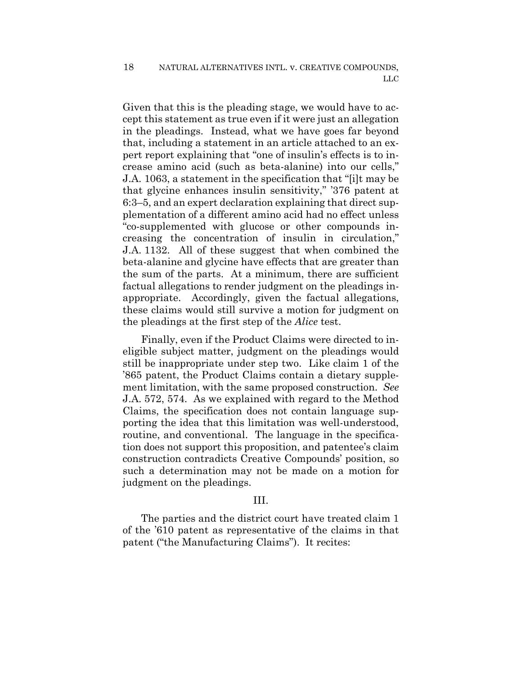Given that this is the pleading stage, we would have to accept this statement as true even if it were just an allegation in the pleadings. Instead, what we have goes far beyond that, including a statement in an article attached to an expert report explaining that "one of insulin's effects is to increase amino acid (such as beta-alanine) into our cells," J.A. 1063, a statement in the specification that "[i]t may be that glycine enhances insulin sensitivity," '376 patent at 6:3–5, and an expert declaration explaining that direct supplementation of a different amino acid had no effect unless "co-supplemented with glucose or other compounds increasing the concentration of insulin in circulation," J.A. 1132. All of these suggest that when combined the beta-alanine and glycine have effects that are greater than the sum of the parts. At a minimum, there are sufficient factual allegations to render judgment on the pleadings inappropriate. Accordingly, given the factual allegations, these claims would still survive a motion for judgment on the pleadings at the first step of the *Alice* test.

Finally, even if the Product Claims were directed to ineligible subject matter, judgment on the pleadings would still be inappropriate under step two. Like claim 1 of the '865 patent, the Product Claims contain a dietary supplement limitation, with the same proposed construction. *See*  J.A. 572, 574. As we explained with regard to the Method Claims, the specification does not contain language supporting the idea that this limitation was well-understood, routine, and conventional. The language in the specification does not support this proposition, and patentee's claim construction contradicts Creative Compounds' position, so such a determination may not be made on a motion for judgment on the pleadings.

## III.

The parties and the district court have treated claim 1 of the '610 patent as representative of the claims in that patent ("the Manufacturing Claims"). It recites: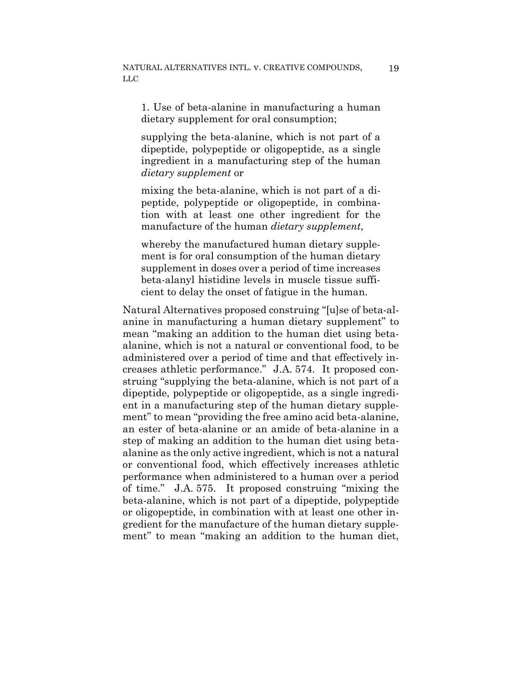1. Use of beta-alanine in manufacturing a human dietary supplement for oral consumption;

supplying the beta-alanine, which is not part of a dipeptide, polypeptide or oligopeptide, as a single ingredient in a manufacturing step of the human *dietary supplement* or

mixing the beta-alanine, which is not part of a dipeptide, polypeptide or oligopeptide, in combination with at least one other ingredient for the manufacture of the human *dietary supplement*,

whereby the manufactured human dietary supplement is for oral consumption of the human dietary supplement in doses over a period of time increases beta-alanyl histidine levels in muscle tissue sufficient to delay the onset of fatigue in the human.

Natural Alternatives proposed construing "[u]se of beta-alanine in manufacturing a human dietary supplement" to mean "making an addition to the human diet using betaalanine, which is not a natural or conventional food, to be administered over a period of time and that effectively increases athletic performance." J.A. 574. It proposed construing "supplying the beta-alanine, which is not part of a dipeptide, polypeptide or oligopeptide, as a single ingredient in a manufacturing step of the human dietary supplement" to mean "providing the free amino acid beta-alanine, an ester of beta-alanine or an amide of beta-alanine in a step of making an addition to the human diet using betaalanine as the only active ingredient, which is not a natural or conventional food, which effectively increases athletic performance when administered to a human over a period of time." J.A. 575. It proposed construing "mixing the beta-alanine, which is not part of a dipeptide, polypeptide or oligopeptide, in combination with at least one other ingredient for the manufacture of the human dietary supplement" to mean "making an addition to the human diet,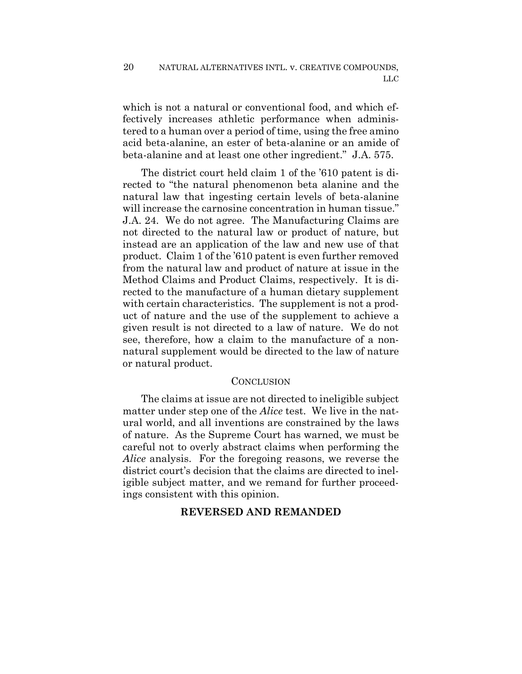which is not a natural or conventional food, and which effectively increases athletic performance when administered to a human over a period of time, using the free amino acid beta-alanine, an ester of beta-alanine or an amide of beta-alanine and at least one other ingredient." J.A. 575.

The district court held claim 1 of the '610 patent is directed to "the natural phenomenon beta alanine and the natural law that ingesting certain levels of beta-alanine will increase the carnosine concentration in human tissue." J.A. 24. We do not agree. The Manufacturing Claims are not directed to the natural law or product of nature, but instead are an application of the law and new use of that product. Claim 1 of the '610 patent is even further removed from the natural law and product of nature at issue in the Method Claims and Product Claims, respectively. It is directed to the manufacture of a human dietary supplement with certain characteristics. The supplement is not a product of nature and the use of the supplement to achieve a given result is not directed to a law of nature. We do not see, therefore, how a claim to the manufacture of a nonnatural supplement would be directed to the law of nature or natural product.

## CONCLUSION

The claims at issue are not directed to ineligible subject matter under step one of the *Alice* test. We live in the natural world, and all inventions are constrained by the laws of nature. As the Supreme Court has warned, we must be careful not to overly abstract claims when performing the *Alice* analysis. For the foregoing reasons, we reverse the district court's decision that the claims are directed to ineligible subject matter, and we remand for further proceedings consistent with this opinion.

## **REVERSED AND REMANDED**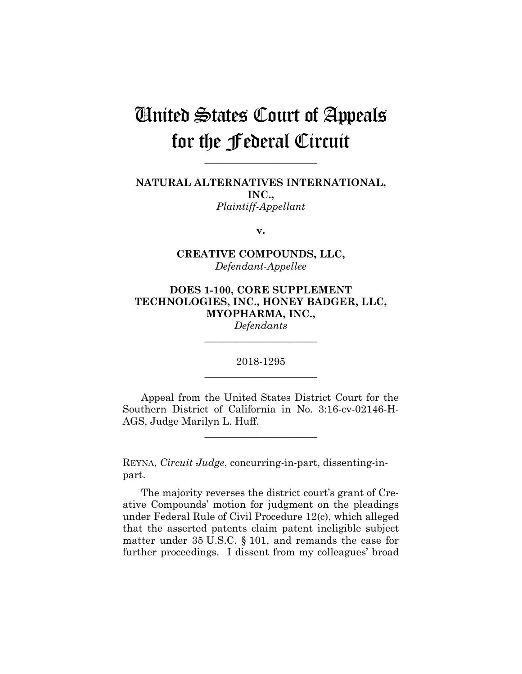# United States Court of Appeals for the Federal Circuit

**\_\_\_\_\_\_\_\_\_\_\_\_\_\_\_\_\_\_\_\_\_\_**

**NATURAL ALTERNATIVES INTERNATIONAL, INC.,** *Plaintiff-Appellant*

**v.**

## **CREATIVE COMPOUNDS, LLC,** *Defendant-Appellee*

## **DOES 1-100, CORE SUPPLEMENT TECHNOLOGIES, INC., HONEY BADGER, LLC, MYOPHARMA, INC.,**

*Defendants* **\_\_\_\_\_\_\_\_\_\_\_\_\_\_\_\_\_\_\_\_\_\_**

2018-1295 **\_\_\_\_\_\_\_\_\_\_\_\_\_\_\_\_\_\_\_\_\_\_**

Appeal from the United States District Court for the Southern District of California in No. 3:16-cv-02146-H-AGS, Judge Marilyn L. Huff.

**\_\_\_\_\_\_\_\_\_\_\_\_\_\_\_\_\_\_\_\_\_\_**

REYNA, *Circuit Judge*, concurring-in-part, dissenting-inpart.

The majority reverses the district court's grant of Creative Compounds' motion for judgment on the pleadings under Federal Rule of Civil Procedure 12(c), which alleged that the asserted patents claim patent ineligible subject matter under 35 U.S.C. § 101, and remands the case for further proceedings. I dissent from my colleagues' broad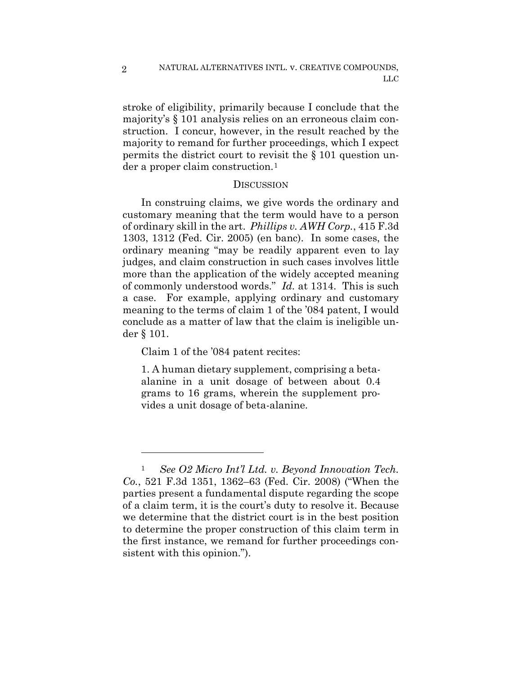stroke of eligibility, primarily because I conclude that the majority's § 101 analysis relies on an erroneous claim construction. I concur, however, in the result reached by the majority to remand for further proceedings, which I expect permits the district court to revisit the § 101 question under a proper claim construction.[1](#page-21-0) 

## **DISCUSSION**

In construing claims, we give words the ordinary and customary meaning that the term would have to a person of ordinary skill in the art. *Phillips v. AWH Corp.*, 415 F.3d 1303, 1312 (Fed. Cir. 2005) (en banc). In some cases, the ordinary meaning "may be readily apparent even to lay judges, and claim construction in such cases involves little more than the application of the widely accepted meaning of commonly understood words." *Id.* at 1314. This is such a case. For example, applying ordinary and customary meaning to the terms of claim 1 of the '084 patent, I would conclude as a matter of law that the claim is ineligible under § 101.

Claim 1 of the '084 patent recites:

1. A human dietary supplement, comprising a betaalanine in a unit dosage of between about 0.4 grams to 16 grams, wherein the supplement provides a unit dosage of beta-alanine.

2

<span id="page-21-0"></span><sup>1</sup> *See O2 Micro Int'l Ltd. v. Beyond Innovation Tech. Co.*, 521 F.3d 1351, 1362–63 (Fed. Cir. 2008) ("When the parties present a fundamental dispute regarding the scope of a claim term, it is the court's duty to resolve it. Because we determine that the district court is in the best position to determine the proper construction of this claim term in the first instance, we remand for further proceedings consistent with this opinion.").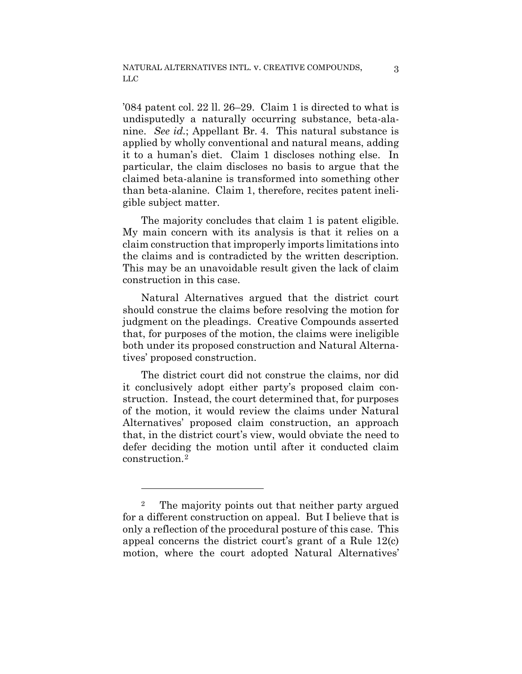'084 patent col. 22 ll. 26–29. Claim 1 is directed to what is undisputedly a naturally occurring substance, beta-alanine. *See id.*; Appellant Br. 4. This natural substance is applied by wholly conventional and natural means, adding it to a human's diet. Claim 1 discloses nothing else. In particular, the claim discloses no basis to argue that the claimed beta-alanine is transformed into something other than beta-alanine. Claim 1, therefore, recites patent ineligible subject matter.

The majority concludes that claim 1 is patent eligible. My main concern with its analysis is that it relies on a claim construction that improperly imports limitations into the claims and is contradicted by the written description. This may be an unavoidable result given the lack of claim construction in this case.

Natural Alternatives argued that the district court should construe the claims before resolving the motion for judgment on the pleadings. Creative Compounds asserted that, for purposes of the motion, the claims were ineligible both under its proposed construction and Natural Alternatives' proposed construction.

The district court did not construe the claims, nor did it conclusively adopt either party's proposed claim construction. Instead, the court determined that, for purposes of the motion, it would review the claims under Natural Alternatives' proposed claim construction, an approach that, in the district court's view, would obviate the need to defer deciding the motion until after it conducted claim construction.[2](#page-22-0)

<span id="page-22-0"></span><sup>2</sup> The majority points out that neither party argued for a different construction on appeal. But I believe that is only a reflection of the procedural posture of this case. This appeal concerns the district court's grant of a Rule 12(c) motion, where the court adopted Natural Alternatives'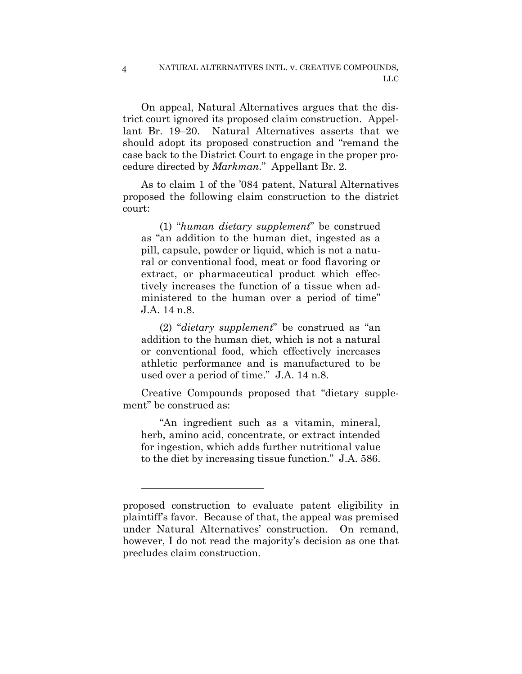### NATURAL ALTERNATIVES INTL. v. CREATIVE COMPOUNDS, LLC

On appeal, Natural Alternatives argues that the district court ignored its proposed claim construction. Appellant Br. 19–20. Natural Alternatives asserts that we should adopt its proposed construction and "remand the case back to the District Court to engage in the proper procedure directed by *Markman*." Appellant Br. 2.

As to claim 1 of the '084 patent, Natural Alternatives proposed the following claim construction to the district court:

(1) "*human dietary supplement*" be construed as "an addition to the human diet, ingested as a pill, capsule, powder or liquid, which is not a natural or conventional food, meat or food flavoring or extract, or pharmaceutical product which effectively increases the function of a tissue when administered to the human over a period of time" J.A. 14 n.8.

(2) "*dietary supplement*" be construed as "an addition to the human diet, which is not a natural or conventional food, which effectively increases athletic performance and is manufactured to be used over a period of time." J.A. 14 n.8.

Creative Compounds proposed that "dietary supplement" be construed as:

"An ingredient such as a vitamin, mineral, herb, amino acid, concentrate, or extract intended for ingestion, which adds further nutritional value to the diet by increasing tissue function." J.A. 586.

4

proposed construction to evaluate patent eligibility in plaintiff's favor. Because of that, the appeal was premised under Natural Alternatives' construction. On remand, however, I do not read the majority's decision as one that precludes claim construction.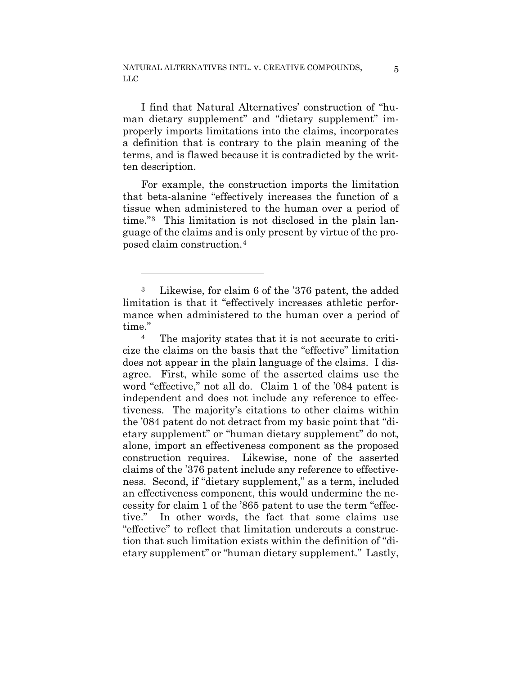I find that Natural Alternatives' construction of "human dietary supplement" and "dietary supplement" improperly imports limitations into the claims, incorporates a definition that is contrary to the plain meaning of the terms, and is flawed because it is contradicted by the written description.

For example, the construction imports the limitation that beta-alanine "effectively increases the function of a tissue when administered to the human over a period of time."[3](#page-24-0) This limitation is not disclosed in the plain language of the claims and is only present by virtue of the proposed claim construction.[4](#page-24-1)

1

<span id="page-24-1"></span><sup>4</sup> The majority states that it is not accurate to criticize the claims on the basis that the "effective" limitation does not appear in the plain language of the claims. I disagree. First, while some of the asserted claims use the word "effective," not all do. Claim 1 of the '084 patent is independent and does not include any reference to effectiveness. The majority's citations to other claims within the '084 patent do not detract from my basic point that "dietary supplement" or "human dietary supplement" do not, alone, import an effectiveness component as the proposed construction requires. Likewise, none of the asserted claims of the '376 patent include any reference to effectiveness. Second, if "dietary supplement," as a term, included an effectiveness component, this would undermine the necessity for claim 1 of the '865 patent to use the term "effective." In other words, the fact that some claims use "effective" to reflect that limitation undercuts a construction that such limitation exists within the definition of "dietary supplement" or "human dietary supplement." Lastly,

<span id="page-24-0"></span><sup>3</sup> Likewise, for claim 6 of the '376 patent, the added limitation is that it "effectively increases athletic performance when administered to the human over a period of time."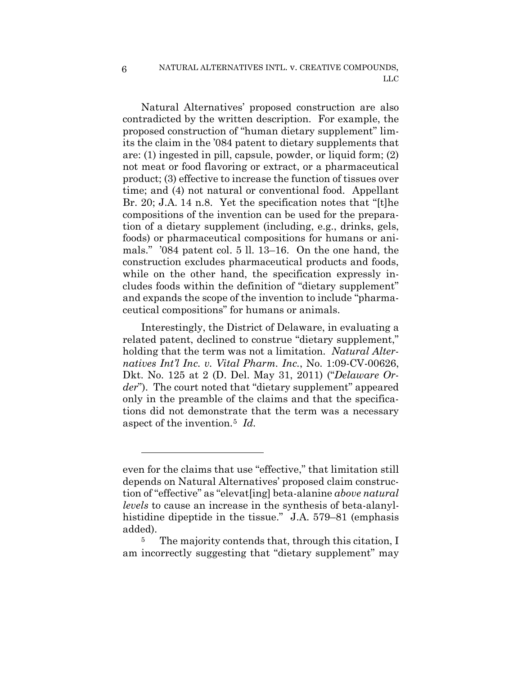Natural Alternatives' proposed construction are also contradicted by the written description. For example, the proposed construction of "human dietary supplement" limits the claim in the '084 patent to dietary supplements that are: (1) ingested in pill, capsule, powder, or liquid form; (2) not meat or food flavoring or extract, or a pharmaceutical product; (3) effective to increase the function of tissues over time; and (4) not natural or conventional food. Appellant Br. 20; J.A. 14 n.8. Yet the specification notes that "[t]he compositions of the invention can be used for the preparation of a dietary supplement (including, e.g., drinks, gels, foods) or pharmaceutical compositions for humans or animals." '084 patent col. 5 ll. 13–16. On the one hand, the construction excludes pharmaceutical products and foods, while on the other hand, the specification expressly includes foods within the definition of "dietary supplement" and expands the scope of the invention to include "pharmaceutical compositions" for humans or animals.

Interestingly, the District of Delaware, in evaluating a related patent, declined to construe "dietary supplement," holding that the term was not a limitation. *Natural Alternatives Int'l Inc. v. Vital Pharm. Inc.*, No. 1:09-CV-00626, Dkt. No. 125 at 2 (D. Del. May 31, 2011) ("*Delaware Order*"). The court noted that "dietary supplement" appeared only in the preamble of the claims and that the specifications did not demonstrate that the term was a necessary aspect of the invention.[5](#page-25-0) *Id.*

<span id="page-25-0"></span>added).<br><sup>5</sup> The majority contends that, through this citation, I am incorrectly suggesting that "dietary supplement" may

even for the claims that use "effective," that limitation still depends on Natural Alternatives' proposed claim construction of "effective" as "elevat[ing] beta-alanine *above natural levels* to cause an increase in the synthesis of beta-alanylhistidine dipeptide in the tissue." J.A. 579–81 (emphasis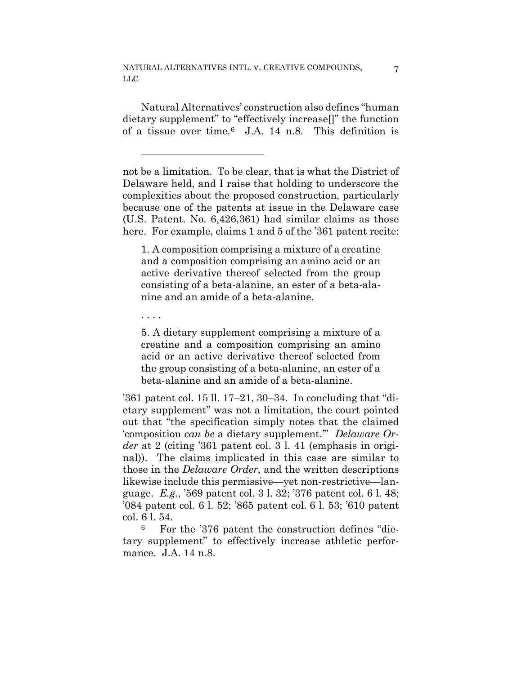NATURAL ALTERNATIVES INTL. v. CREATIVE COMPOUNDS, LLC

Natural Alternatives' construction also defines "human dietary supplement" to "effectively increase[]" the function of a tissue over time.[6](#page-26-0) J.A. 14 n.8. This definition is

not be a limitation. To be clear, that is what the District of Delaware held, and I raise that holding to underscore the complexities about the proposed construction, particularly because one of the patents at issue in the Delaware case (U.S. Patent. No. 6,426,361) had similar claims as those here. For example, claims 1 and 5 of the '361 patent recite:

1. A composition comprising a mixture of a creatine and a composition comprising an amino acid or an active derivative thereof selected from the group consisting of a beta-alanine, an ester of a beta-alanine and an amide of a beta-alanine.

. . . .

1

5. A dietary supplement comprising a mixture of a creatine and a composition comprising an amino acid or an active derivative thereof selected from the group consisting of a beta-alanine, an ester of a beta-alanine and an amide of a beta-alanine.

'361 patent col. 15 ll. 17–21, 30–34. In concluding that "dietary supplement" was not a limitation, the court pointed out that "the specification simply notes that the claimed 'composition *can be* a dietary supplement.'" *Delaware Order* at 2 (citing '361 patent col. 3 l. 41 (emphasis in original)). The claims implicated in this case are similar to those in the *Delaware Order*, and the written descriptions likewise include this permissive—yet non-restrictive—language. *E.g.*, '569 patent col. 3 l. 32; '376 patent col. 6 l. 48; '084 patent col. 6 l. 52; '865 patent col. 6 l. 53; '610 patent col. 6 l. 54.

<span id="page-26-0"></span><sup>6</sup> For the '376 patent the construction defines "dietary supplement" to effectively increase athletic performance. J.A. 14 n.8.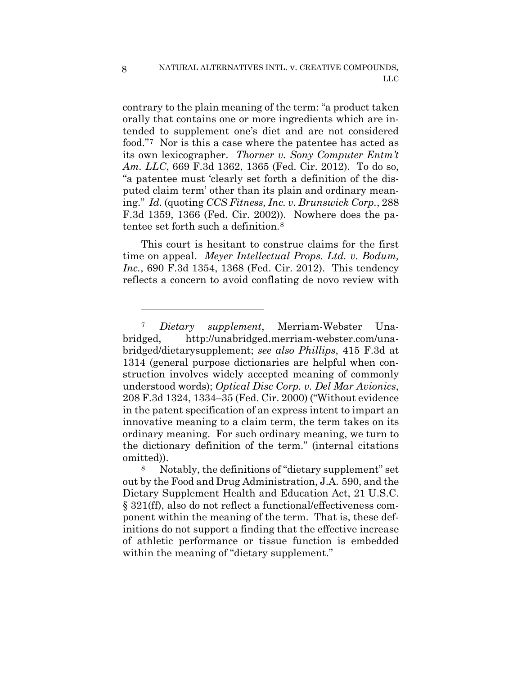contrary to the plain meaning of the term: "a product taken orally that contains one or more ingredients which are intended to supplement one's diet and are not considered food."[7](#page-27-0) Nor is this a case where the patentee has acted as its own lexicographer. *Thorner v. Sony Computer Entm't Am. LLC*, 669 F.3d 1362, 1365 (Fed. Cir. 2012). To do so, "a patentee must 'clearly set forth a definition of the disputed claim term' other than its plain and ordinary meaning." *Id.* (quoting *CCS Fitness, Inc. v. Brunswick Corp.*, 288 F.3d 1359, 1366 (Fed. Cir. 2002)). Nowhere does the patentee set forth such a definition.[8](#page-27-1)

This court is hesitant to construe claims for the first time on appeal. *Meyer Intellectual Props. Ltd. v. Bodum, Inc.*, 690 F.3d 1354, 1368 (Fed. Cir. 2012). This tendency reflects a concern to avoid conflating de novo review with

<span id="page-27-0"></span><sup>7</sup> *Dietary supplement*, Merriam-Webster Unabridged, http://unabridged.merriam-webster.com/unabridged/dietarysupplement; *see also Phillips*, 415 F.3d at 1314 (general purpose dictionaries are helpful when construction involves widely accepted meaning of commonly understood words); *Optical Disc Corp. v. Del Mar Avionics*, 208 F.3d 1324, 1334–35 (Fed. Cir. 2000) ("Without evidence in the patent specification of an express intent to impart an innovative meaning to a claim term, the term takes on its ordinary meaning. For such ordinary meaning, we turn to the dictionary definition of the term." (internal citations omitted)).

<span id="page-27-1"></span><sup>8</sup> Notably, the definitions of "dietary supplement" set out by the Food and Drug Administration, J.A. 590, and the Dietary Supplement Health and Education Act, 21 U.S.C. § 321(ff), also do not reflect a functional/effectiveness component within the meaning of the term. That is, these definitions do not support a finding that the effective increase of athletic performance or tissue function is embedded within the meaning of "dietary supplement."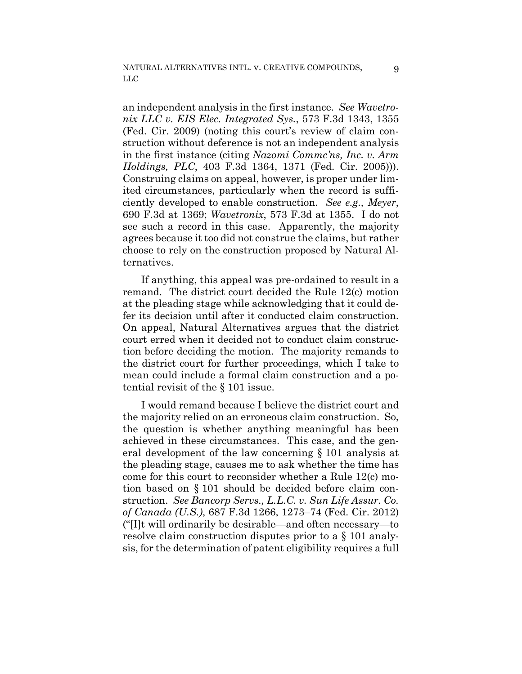an independent analysis in the first instance. *See Wavetronix LLC v. EIS Elec. Integrated Sys.*, 573 F.3d 1343, 1355 (Fed. Cir. 2009) (noting this court's review of claim construction without deference is not an independent analysis in the first instance (citing *Nazomi Commc'ns, Inc. v. Arm Holdings, PLC*, 403 F.3d 1364, 1371 (Fed. Cir. 2005))). Construing claims on appeal, however, is proper under limited circumstances, particularly when the record is sufficiently developed to enable construction. *See e.g., Meyer*, 690 F.3d at 1369; *Wavetronix*, 573 F.3d at 1355. I do not see such a record in this case. Apparently, the majority agrees because it too did not construe the claims, but rather choose to rely on the construction proposed by Natural Alternatives.

If anything, this appeal was pre-ordained to result in a remand. The district court decided the Rule 12(c) motion at the pleading stage while acknowledging that it could defer its decision until after it conducted claim construction. On appeal, Natural Alternatives argues that the district court erred when it decided not to conduct claim construction before deciding the motion. The majority remands to the district court for further proceedings, which I take to mean could include a formal claim construction and a potential revisit of the § 101 issue.

I would remand because I believe the district court and the majority relied on an erroneous claim construction. So, the question is whether anything meaningful has been achieved in these circumstances. This case, and the general development of the law concerning § 101 analysis at the pleading stage, causes me to ask whether the time has come for this court to reconsider whether a Rule 12(c) motion based on § 101 should be decided before claim construction. *See Bancorp Servs., L.L.C. v. Sun Life Assur. Co. of Canada (U.S.)*, 687 F.3d 1266, 1273–74 (Fed. Cir. 2012) ("[I]t will ordinarily be desirable—and often necessary—to resolve claim construction disputes prior to a § 101 analysis, for the determination of patent eligibility requires a full